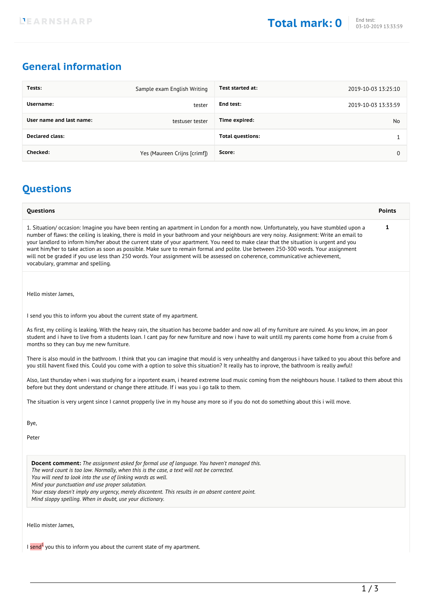## **General information**

| Tests:                   | Sample exam English Writing  | Test started at:        | 2019-10-03 13:25:10 |
|--------------------------|------------------------------|-------------------------|---------------------|
| Username:                | tester                       | End test:               | 2019-10-03 13:33:59 |
| User name and last name: | testuser tester              | Time expired:           | No                  |
| <b>Declared class:</b>   |                              | <b>Total questions:</b> |                     |
| Checked:                 | Yes (Maureen Crijns [crimf]) | Score:                  |                     |

## **Questions**

| Questions                                                                                                                                                                                                                                                                                                                                                                                                                                                                                                                                                                                                                                                                                                                              | <b>Points</b> |  |  |
|----------------------------------------------------------------------------------------------------------------------------------------------------------------------------------------------------------------------------------------------------------------------------------------------------------------------------------------------------------------------------------------------------------------------------------------------------------------------------------------------------------------------------------------------------------------------------------------------------------------------------------------------------------------------------------------------------------------------------------------|---------------|--|--|
| 1. Situation/occasion: Imagine you have been renting an apartment in London for a month now. Unfortunately, you have stumbled upon a<br>number of flaws: the ceiling is leaking, there is mold in your bathroom and your neighbours are very noisy. Assignment: Write an email to<br>your landlord to inform him/her about the current state of your apartment. You need to make clear that the situation is urgent and you<br>want him/her to take action as soon as possible. Make sure to remain formal and polite. Use between 250-300 words. Your assignment<br>will not be graded if you use less than 250 words. Your assignment will be assessed on coherence, communicative achievement,<br>vocabulary, grammar and spelling. | 1             |  |  |
|                                                                                                                                                                                                                                                                                                                                                                                                                                                                                                                                                                                                                                                                                                                                        |               |  |  |
| Hello mister James,                                                                                                                                                                                                                                                                                                                                                                                                                                                                                                                                                                                                                                                                                                                    |               |  |  |
| I send you this to inform you about the current state of my apartment.                                                                                                                                                                                                                                                                                                                                                                                                                                                                                                                                                                                                                                                                 |               |  |  |
| As first, my ceiling is leaking. With the heavy rain, the situation has become badder and now all of my furniture are ruined. As you know, im an poor<br>student and i have to live from a students loan. I cant pay for new furniture and now i have to wait untill my parents come home from a cruise from 6<br>months so they can buy me new furniture.                                                                                                                                                                                                                                                                                                                                                                             |               |  |  |
| There is also mould in the bathroom. I think that you can imagine that mould is very unhealthy and dangerous i have talked to you about this before and<br>you still havent fixed this. Could you come with a option to solve this situation? It really has to inprove, the bathroom is really awful!                                                                                                                                                                                                                                                                                                                                                                                                                                  |               |  |  |
| Also, last thursday when i was studying for a inportent exam, i heared extreme loud music coming from the neighbours house. I talked to them about this<br>before but they dont understand or change there attitude. If i was you i go talk to them.                                                                                                                                                                                                                                                                                                                                                                                                                                                                                   |               |  |  |
| The situation is very urgent since I cannot propperly live in my house any more so if you do not do something about this i will move.                                                                                                                                                                                                                                                                                                                                                                                                                                                                                                                                                                                                  |               |  |  |
| Bye,                                                                                                                                                                                                                                                                                                                                                                                                                                                                                                                                                                                                                                                                                                                                   |               |  |  |
| Peter                                                                                                                                                                                                                                                                                                                                                                                                                                                                                                                                                                                                                                                                                                                                  |               |  |  |
| <b>Docent comment:</b> The assignment asked for formal use of language. You haven't managed this.                                                                                                                                                                                                                                                                                                                                                                                                                                                                                                                                                                                                                                      |               |  |  |

*The word count is too low. Normally, when this is the case, a text will not be corrected.*

*You will need to look into the use of linking words as well.*

*Mind your punctuation and use proper salutation.*

*Your essay doesn't imply any urgency, merely discontent. This results in an absent content point.*

*Mind sloppy spelling. When in doubt, use your dictionary.*

Hello mister James,

I send<sup>1</sup> you this to inform you about the current state of my apartment.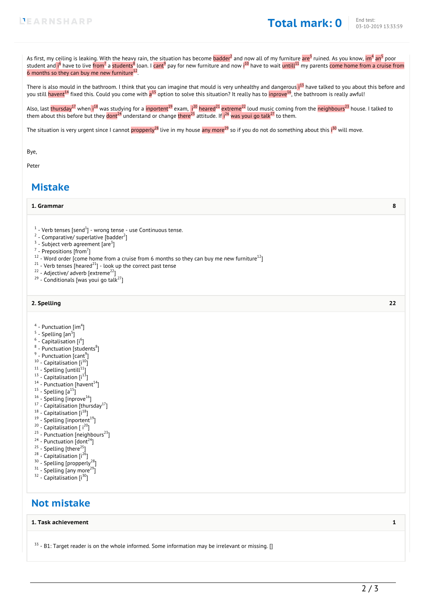As first, my ceiling is leaking. W<u>i</u>th the heavy rain, the situation has become <mark>badder<sup>2</sup> and <u>n</u>ow all of my furniture are<sup>3</sup> ruined. As you know, <mark>im<sup>4</sup> an<sup>5</sup> poor</mark></mark> student and i<sup>6</sup> have to live from<sup>7</sup> a <mark>students<sup>8</sup> loan. I cant<sup>9</sup> pay for new furniture and now i<sup>10</sup> have to wait <mark>untill<sup>11</sup> my parents come home from a cruise from</mark></mark> 6 months so they can buy me new furniture $^{12}$ .

There is also mould in the bathroom. I think that you can imagine that mould is very unhealthy and dangerous i<sup>13</sup> have talked to you about this before and you still <mark>havent<sup>14</sup> fixed this. Could you come with a<sup>15</sup> option to solve this situation? It really has to <mark>inprove<sup>16</sup>, the bathroom is really awful!</mark></mark>

Also, last <mark>thursday<sup>17</sup> when i<sup>18</sup> was studying for a <mark>inportent<sup>19</sup> exam, i<sup>20</sup> heared<sup>21</sup> extreme<sup>22</sup> loud music coming from the <mark>neighbours<sup>23</sup> house. I talked to</mark></mark></mark> them about this before but they  $\frac{1}{\text{dom}t^{24}}$  understand or change there<sup>25</sup> attitude. If  $i^{26}$  was youi go talk<sup>27</sup> to them.

The situation is very urgent since I cannot <mark>propperly<sup>28</sup> l</mark>ive in my house <mark>any more<sup>29</sup> so if you do not do something about this i<sup>30</sup> will move.</mark>

Bye,

Peter

### **Mistake**

#### **1. Grammar 8**

- $^1$  Verb tenses [send $^1$ ] wrong tense use Continuous tense.
- $2$  Comparative/ superlative [badder<sup>2</sup>]
- $3$  Subject verb agreement [are $3$ ]
- $^7$  Prepositions [from<sup>7</sup>]
- $12$  Word order [come home from a cruise from 6 months so they can buy me new furniture $12$ ]
- $21$  Verb tenses [heared $21$ ] look up the correct past tense
- $22 -$  Adjective/ adverb [extreme<sup>22</sup>]
- $29$  Conditionals [was youi go talk $^{27}$ ]

#### **2. Spelling 22**

- $^4$  Punctuation [im $^4$ ]
- $^5$  Spelling [an $^5$ ]
- $^6$  Capitalisation [i $^6$ ]
- $^8$  Punctuation [students $^8$ ]
- $^9$  Punctuation [cant $^9$ ]
- $10$  Capitalisation  $[i^{10}]$
- $11 -$  Spelling [untill $11$ ]
- $13 -$  Capitalisation  $[i]$ <sup>13</sup>]
- $14$  Punctuation [havent $14$ ]
- $15$  Spelling  $[a^{15}]$
- $16 -$  Spelling [inprove $16$ ]
- $17$  Capitalisation [thursday $17$ ]
- $18$  Capitalisation  $[i^{18}]$
- $19 -$  Spelling [inportent<sup>19</sup>]
- $20$  Capitalisation [ $i^{20}$ ]
- $23$  Punctuation [neighbours<sup>23</sup>]
- $24$  Punctuation [dont<sup>24</sup>]
- $25$  Spelling [there<sup>25</sup>]
- $28 -$  Capitalisation  $[i^{26}]$
- <sup>30</sup> Spelling [propperly<sup>28</sup>]
- $31 -$  Spelling [any more<sup>29</sup>]
- $32$  Capitalisation  $[i^{30}]$

## **Not mistake**

#### **1. Task achievement 1**

 $33 - B1$ : Target reader is on the whole informed. Some information may be irrelevant or missing. []